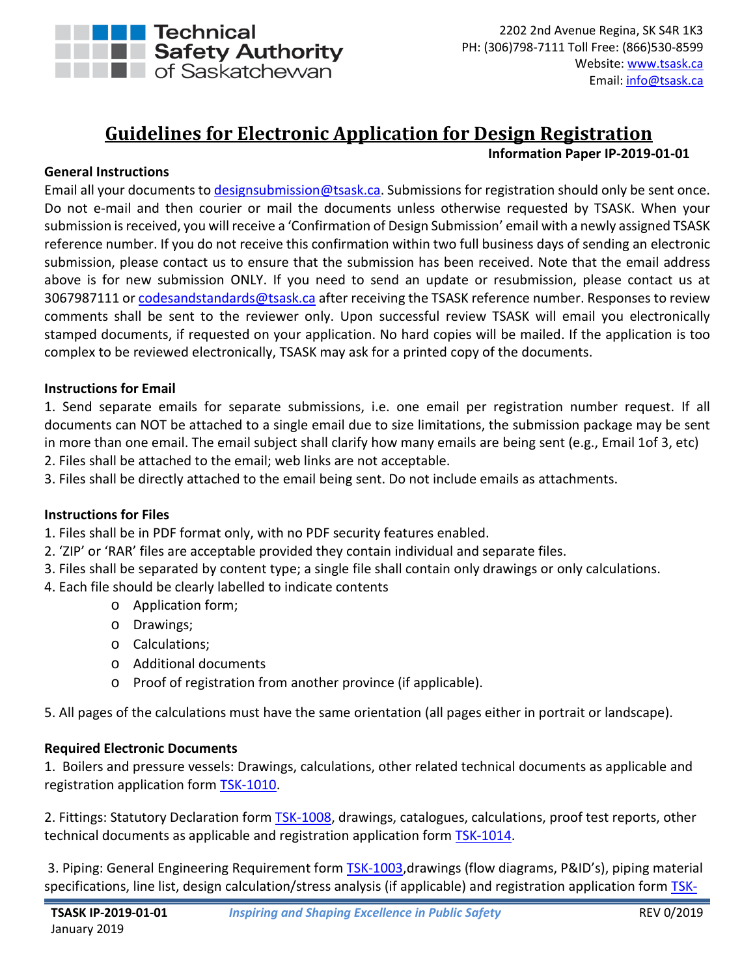

# **Guidelines for Electronic Application for Design Registration**

## **Information Paper IP-2019-01-01**

## **General Instructions**

Email all your documents t[o designsubmission@tsask.ca.](mailto:designsubmission@tsask.ca) Submissions for registration should only be sent once. Do not e-mail and then courier or mail the documents unless otherwise requested by TSASK. When your submission is received, you will receive a 'Confirmation of Design Submission' email with a newly assigned TSASK reference number. If you do not receive this confirmation within two full business days of sending an electronic submission, please contact us to ensure that the submission has been received. Note that the email address above is for new submission ONLY. If you need to send an update or resubmission, please contact us at 3067987111 or [codesandstandards@tsask.ca](mailto:codesandstandards@tsask.ca) after receiving the TSASK reference number. Responses to review comments shall be sent to the reviewer only. Upon successful review TSASK will email you electronically stamped documents, if requested on your application. No hard copies will be mailed. If the application is too complex to be reviewed electronically, TSASK may ask for a printed copy of the documents.

## **Instructions for Email**

1. Send separate emails for separate submissions, i.e. one email per registration number request. If all documents can NOT be attached to a single email due to size limitations, the submission package may be sent in more than one email. The email subject shall clarify how many emails are being sent (e.g., Email 1of 3, etc)

2. Files shall be attached to the email; web links are not acceptable.

3. Files shall be directly attached to the email being sent. Do not include emails as attachments.

#### **Instructions for Files**

1. Files shall be in PDF format only, with no PDF security features enabled.

- 2. 'ZIP' or 'RAR' files are acceptable provided they contain individual and separate files.
- 3. Files shall be separated by content type; a single file shall contain only drawings or only calculations.
- 4. Each file should be clearly labelled to indicate contents
	- o Application form;
	- o Drawings;
	- o Calculations;
	- o Additional documents
	- o Proof of registration from another province (if applicable).

5. All pages of the calculations must have the same orientation (all pages either in portrait or landscape).

#### **Required Electronic Documents**

1. Boilers and pressure vessels: Drawings, calculations, other related technical documents as applicable and registration application form **TSK-1010**.

2. Fittings: Statutory Declaration form **TSK-1008**, drawings, catalogues, calculations, proof test reports, other technical documents as applicable and registration application form [TSK-1014.](http://www.tsask.ca/public/images/TSK-1014_-_2017_Fitting_Design_Registration_-_FINAL.pdf)

3. Piping: General Engineering Requirement form [TSK-1003,](http://www.tsask.ca/public/pdf/2016%20Pressure%20Piping/TSK-1003_-_General_Engineering_Requirements_for_Pressure_Piping.pdf)drawings (flow diagrams, P&ID's), piping material specifications, line list, design calculation/stress analysis (if applicable) and registration application form [TSK-](http://www.tsask.ca/public/images/TSK-1011_-_Application_for_the_Registration_of_a_Pressure_Piping_Design_Form.pdf)